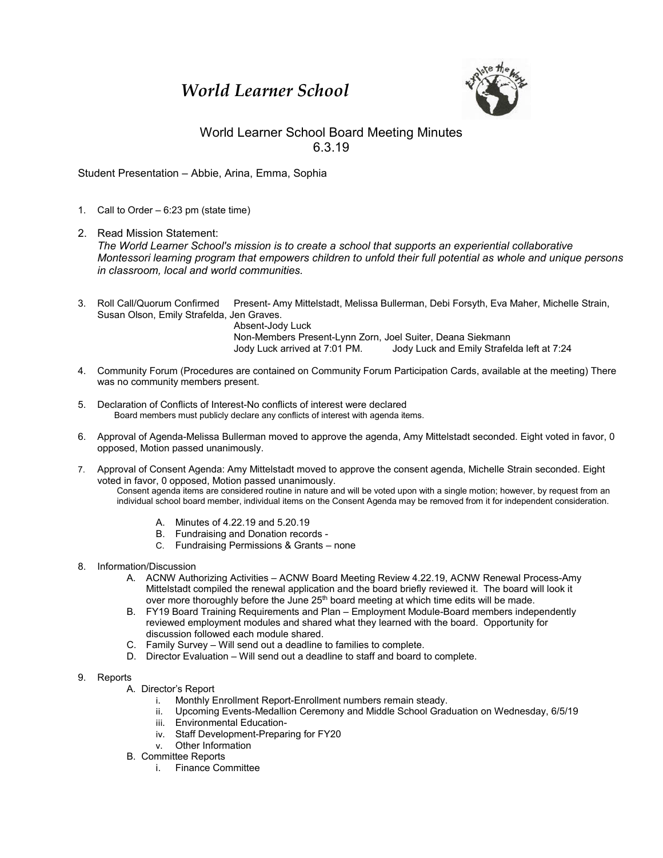## *World Learner School*



## World Learner School Board Meeting Minutes 6.3.19

Student Presentation – Abbie, Arina, Emma, Sophia

- 1. Call to Order 6:23 pm (state time)
- 2. Read Mission Statement: *The World Learner School's mission is to create a school that supports an experiential collaborative Montessori learning program that empowers children to unfold their full potential as whole and unique persons in classroom, local and world communities.*
- 3. Roll Call/Quorum Confirmed Present- Amy Mittelstadt, Melissa Bullerman, Debi Forsyth, Eva Maher, Michelle Strain, Susan Olson, Emily Strafelda, Jen Graves.

Absent-Jody Luck Non-Members Present-Lynn Zorn, Joel Suiter, Deana Siekmann Jody Luck arrived at 7:01 PM. Jody Luck and Emily Strafelda left at 7:24

- 4. Community Forum (Procedures are contained on Community Forum Participation Cards, available at the meeting) There was no community members present.
- 5. Declaration of Conflicts of Interest-No conflicts of interest were declared Board members must publicly declare any conflicts of interest with agenda items.
- 6. Approval of Agenda-Melissa Bullerman moved to approve the agenda, Amy Mittelstadt seconded. Eight voted in favor, 0 opposed, Motion passed unanimously.
- 7. Approval of Consent Agenda: Amy Mittelstadt moved to approve the consent agenda, Michelle Strain seconded. Eight voted in favor, 0 opposed, Motion passed unanimously.

Consent agenda items are considered routine in nature and will be voted upon with a single motion; however, by request from an individual school board member, individual items on the Consent Agenda may be removed from it for independent consideration.

- A. Minutes of 4.22.19 and 5.20.19
- B. Fundraising and Donation records -
- C. Fundraising Permissions & Grants none
- 8. Information/Discussion
	- A. ACNW Authorizing Activities ACNW Board Meeting Review 4.22.19, ACNW Renewal Process-Amy Mittelstadt compiled the renewal application and the board briefly reviewed it. The board will look it over more thoroughly before the June  $25<sup>th</sup>$  board meeting at which time edits will be made.
	- B. FY19 Board Training Requirements and Plan Employment Module-Board members independently reviewed employment modules and shared what they learned with the board. Opportunity for discussion followed each module shared.
	- C. Family Survey Will send out a deadline to families to complete.
	- D. Director Evaluation Will send out a deadline to staff and board to complete.
- 9. Reports
	- A. Director's Report
		- i. Monthly Enrollment Report-Enrollment numbers remain steady.
		- ii. Upcoming Events-Medallion Ceremony and Middle School Graduation on Wednesday, 6/5/19
		- iii. Environmental Education-
		- iv. Staff Development-Preparing for FY20
		- v. Other Information
	- B. Committee Reports
		- i. Finance Committee